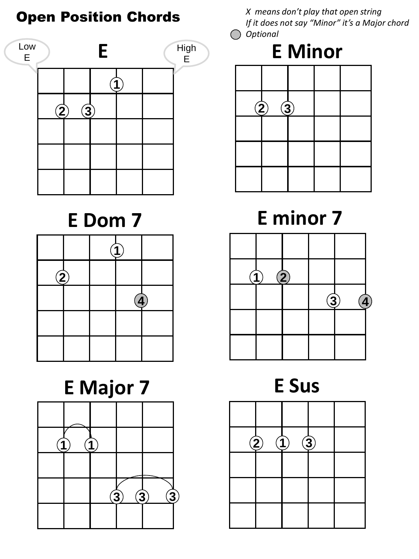Open Position Chords





# **E Major 7**



*X means don't play that open string If it does not say "Minor" it's a Major chord Optional* 

## **E Minor**



## **E Dom 7 E minor 7**



**E Sus**

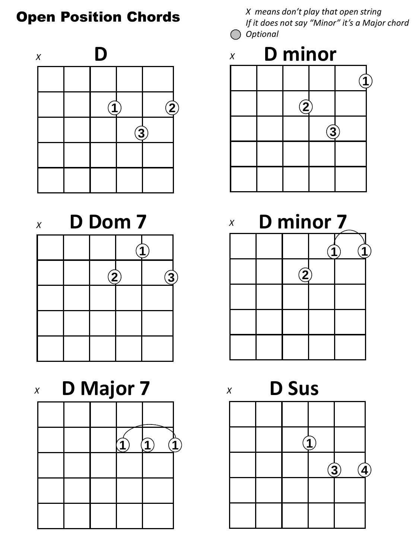





*If it does not say "Minor" it's a Major chord Optional* 





*X* 

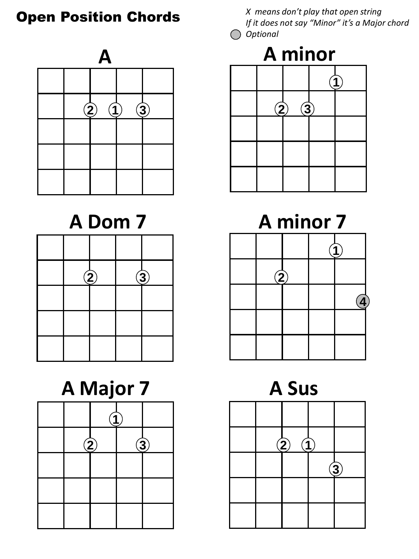

|  | $\mathbf{2}$ | $\mathbf{3}$ |  | $\overline{2}$ |
|--|--------------|--------------|--|----------------|
|  |              |              |  |                |
|  |              |              |  |                |
|  |              |              |  |                |

# **A Major 7 A Sus**

|  | $\ddot{2}$ | $\bigcirc$ |
|--|------------|------------|
|  |            |            |
|  |            |            |
|  |            |            |



**A Dom 7 A minor 7** 

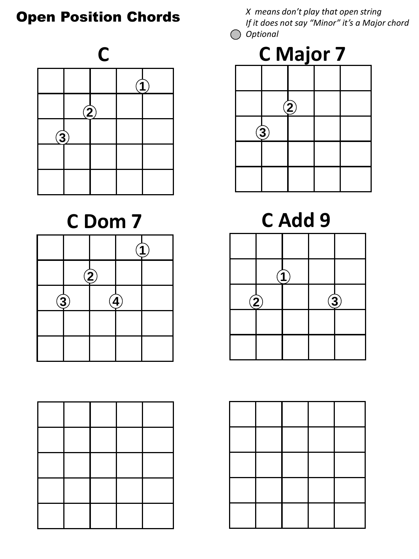

## **C Dom 7**

|          | $\mathbf 2$ |  |  |              |                        |
|----------|-------------|--|--|--------------|------------------------|
| $\bf(3)$ |             |  |  | $\mathbf{2}$ | $\widehat{\mathbf{3}}$ |
|          |             |  |  |              |                        |
|          |             |  |  |              |                        |



**C Add 9**



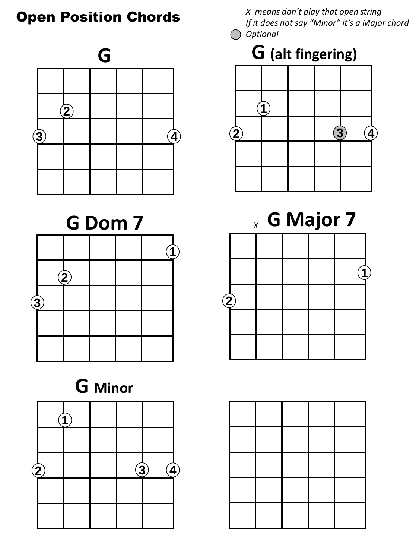